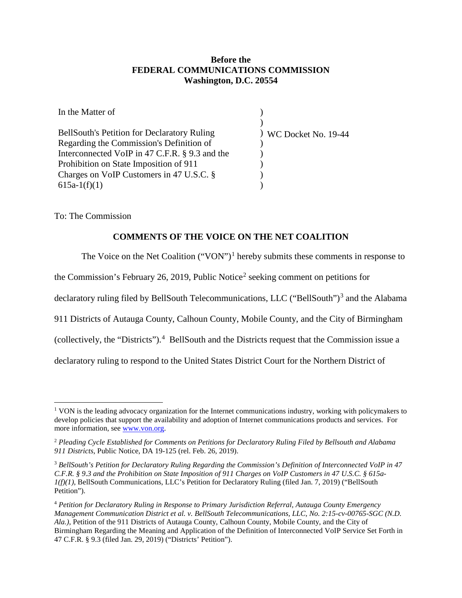## **Before the FEDERAL COMMUNICATIONS COMMISSION Washington, D.C. 20554**

| In the Matter of                                   |                         |
|----------------------------------------------------|-------------------------|
|                                                    |                         |
| <b>BellSouth's Petition for Declaratory Ruling</b> | $)$ WC Docket No. 19-44 |
| Regarding the Commission's Definition of           |                         |
| Interconnected VoIP in 47 C.F.R. § 9.3 and the     |                         |
| Prohibition on State Imposition of 911             |                         |
| Charges on VoIP Customers in 47 U.S.C. §           |                         |
| $615a-1(f)(1)$                                     |                         |

To: The Commission

## **COMMENTS OF THE VOICE ON THE NET COALITION**

The Voice on the Net Coalition ("VON")<sup>[1](#page-0-0)</sup> hereby submits these comments in response to

the Commission's February [2](#page-0-1)6, 2019, Public Notice<sup>2</sup> seeking comment on petitions for

declaratory ruling filed by BellSouth Telecommunications, LLC ("BellSouth")<sup>[3](#page-0-2)</sup> and the Alabama

911 Districts of Autauga County, Calhoun County, Mobile County, and the City of Birmingham

(collectively, the "Districts"). [4](#page-0-3) BellSouth and the Districts request that the Commission issue a

declaratory ruling to respond to the United States District Court for the Northern District of

<span id="page-0-0"></span><sup>&</sup>lt;sup>1</sup> VON is the leading advocacy organization for the Internet communications industry, working with policymakers to develop policies that support the availability and adoption of Internet communications products and services. For more information, see [www.von.org.](http://www.von.org/)

<span id="page-0-1"></span><sup>2</sup> *Pleading Cycle Established for Comments on Petitions for Declaratory Ruling Filed by Bellsouth and Alabama 911 Districts*, Public Notice, DA 19-125 (rel. Feb. 26, 2019).

<span id="page-0-2"></span><sup>3</sup> *BellSouth's Petition for Declaratory Ruling Regarding the Commission's Definition of Interconnected VoIP in 47 C.F.R. § 9.3 and the Prohibition on State Imposition of 911 Charges on VoIP Customers in 47 U.S.C. § 615a-1(f)(1)*, BellSouth Communications, LLC's Petition for Declaratory Ruling (filed Jan. 7, 2019) ("BellSouth Petition").

<span id="page-0-3"></span><sup>4</sup> *Petition for Declaratory Ruling in Response to Primary Jurisdiction Referral, Autauga County Emergency Management Communication District et al. v. BellSouth Telecommunications, LLC, No. 2:15-cv-00765-SGC (N.D. Ala.)*, Petition of the 911 Districts of Autauga County, Calhoun County, Mobile County, and the City of Birmingham Regarding the Meaning and Application of the Definition of Interconnected VoIP Service Set Forth in 47 C.F.R. § 9.3 (filed Jan. 29, 2019) ("Districts' Petition").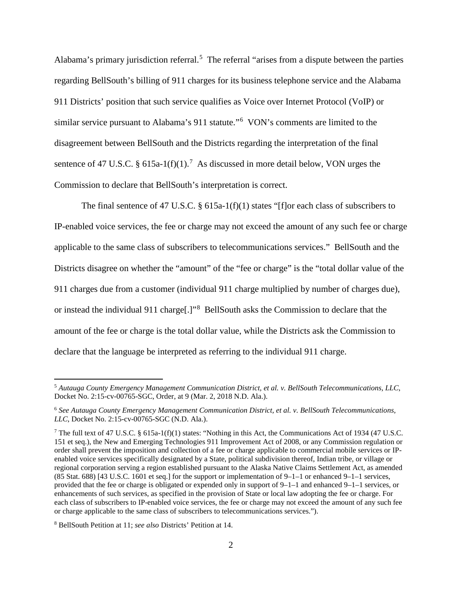Alabama's primary jurisdiction referral.<sup>[5](#page-1-0)</sup> The referral "arises from a dispute between the parties regarding BellSouth's billing of 911 charges for its business telephone service and the Alabama 911 Districts' position that such service qualifies as Voice over Internet Protocol (VoIP) or similar service pursuant to Alabama's 911 statute."<sup>[6](#page-1-1)</sup> VON's comments are limited to the disagreement between BellSouth and the Districts regarding the interpretation of the final sentence of 4[7](#page-1-2) U.S.C. § 615a-1(f)(1).<sup>7</sup> As discussed in more detail below, VON urges the Commission to declare that BellSouth's interpretation is correct.

The final sentence of 47 U.S.C.  $\S$  615a-1(f)(1) states "[f]or each class of subscribers to IP-enabled voice services, the fee or charge may not exceed the amount of any such fee or charge applicable to the same class of subscribers to telecommunications services." BellSouth and the Districts disagree on whether the "amount" of the "fee or charge" is the "total dollar value of the 911 charges due from a customer (individual 911 charge multiplied by number of charges due), or instead the individual 911 charge[.]"<sup>[8](#page-1-3)</sup> BellSouth asks the Commission to declare that the amount of the fee or charge is the total dollar value, while the Districts ask the Commission to declare that the language be interpreted as referring to the individual 911 charge.

<span id="page-1-0"></span> <sup>5</sup> *Autauga County Emergency Management Communication District, et al. v. BellSouth Telecommunications, LLC*, Docket No. 2:15-cv-00765-SGC, Order, at 9 (Mar. 2, 2018 N.D. Ala.).

<span id="page-1-1"></span><sup>6</sup> *See Autauga County Emergency Management Communication District, et al. v. BellSouth Telecommunications, LLC*, Docket No. 2:15-cv-00765-SGC (N.D. Ala.).

<span id="page-1-2"></span><sup>&</sup>lt;sup>7</sup> The full text of 47 U.S.C. § 615a-1(f)(1) states: "Nothing in this Act, the Communications Act of 1934 (47 U.S.C. 151 et seq.), the New and Emerging Technologies 911 Improvement Act of 2008, or any Commission regulation or order shall prevent the imposition and collection of a fee or charge applicable to commercial mobile services or IPenabled voice services specifically designated by a State, political subdivision thereof, Indian tribe, or village or regional corporation serving a region established pursuant to the Alaska Native Claims Settlement Act, as amended (85 Stat. 688) [43 U.S.C. 1601 et seq.] for the support or implementation of 9–1–1 or enhanced 9–1–1 services, provided that the fee or charge is obligated or expended only in support of 9–1–1 and enhanced 9–1–1 services, or enhancements of such services, as specified in the provision of State or local law adopting the fee or charge. For each class of subscribers to IP-enabled voice services, the fee or charge may not exceed the amount of any such fee or charge applicable to the same class of subscribers to telecommunications services.").

<span id="page-1-3"></span><sup>8</sup> BellSouth Petition at 11; *see also* Districts' Petition at 14.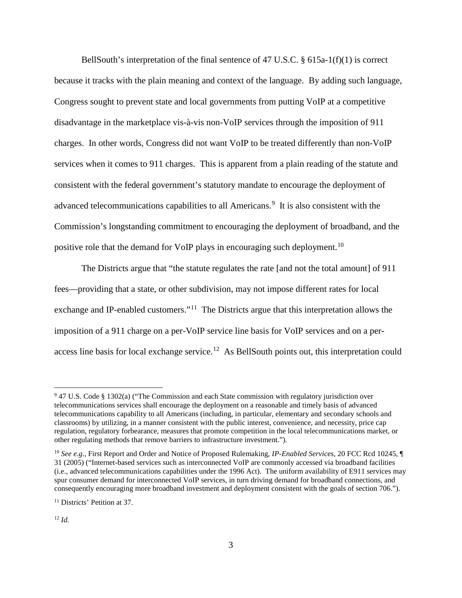BellSouth's interpretation of the final sentence of 47 U.S.C.  $\S$  615a-1(f)(1) is correct because it tracks with the plain meaning and context of the language. By adding such language, Congress sought to prevent state and local governments from putting VoIP at a competitive disadvantage in the marketplace vis-à-vis non-VoIP services through the imposition of 911 charges. In other words, Congress did not want VoIP to be treated differently than non-VoIP services when it comes to 911 charges. This is apparent from a plain reading of the statute and consistent with the federal government's statutory mandate to encourage the deployment of advanced telecommunications capabilities to all Americans.<sup>[9](#page-2-0)</sup> It is also consistent with the Commission's longstanding commitment to encouraging the deployment of broadband, and the positive role that the demand for VoIP plays in encouraging such deployment.<sup>[10](#page-2-1)</sup>

The Districts argue that "the statute regulates the rate [and not the total amount] of 911 fees—providing that a state, or other subdivision, may not impose different rates for local exchange and IP-enabled customers."<sup>[11](#page-2-2)</sup> The Districts argue that this interpretation allows the imposition of a 911 charge on a per-VoIP service line basis for VoIP services and on a peraccess line basis for local exchange service.<sup>12</sup> As BellSouth points out, this interpretation could

<span id="page-2-0"></span><sup>&</sup>lt;sup>9</sup> 47 U.S. Code § 1302(a) ("The Commission and each State commission with regulatory jurisdiction over telecommunications services shall encourage the deployment on a reasonable and timely basis of advanced telecommunications capability to all Americans (including, in particular, elementary and secondary schools and classrooms) by utilizing, in a manner consistent with the public interest, convenience, and necessity, price cap regulation, regulatory forbearance, measures that promote competition in the local telecommunications market, or other regulating methods that remove barriers to infrastructure investment.").

<span id="page-2-1"></span><sup>10</sup> *See e.g.,* First Report and Order and Notice of Proposed Rulemaking, *IP-Enabled Services*, 20 FCC Rcd 10245, ¶ 31 (2005) ("Internet-based services such as interconnected VoIP are commonly accessed via broadband facilities (i.e., advanced telecommunications capabilities under the 1996 Act). The uniform availability of E911 services may spur consumer demand for interconnected VoIP services, in turn driving demand for broadband connections, and consequently encouraging more broadband investment and deployment consistent with the goals of section 706.").

<span id="page-2-2"></span><sup>&</sup>lt;sup>11</sup> Districts' Petition at 37.

<span id="page-2-3"></span><sup>12</sup> *Id.*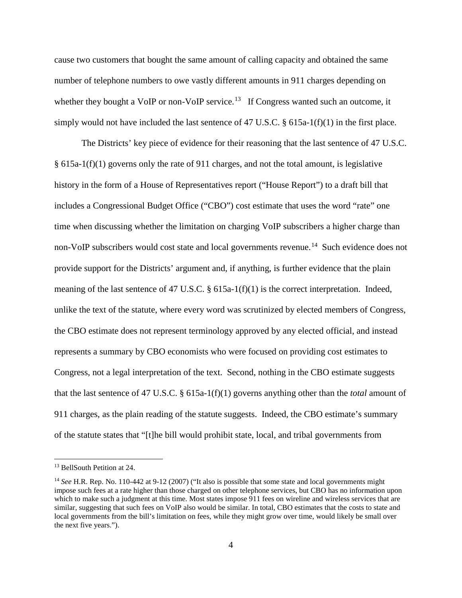cause two customers that bought the same amount of calling capacity and obtained the same number of telephone numbers to owe vastly different amounts in 911 charges depending on whether they bought a VoIP or non-VoIP service.<sup>[13](#page-3-0)</sup> If Congress wanted such an outcome, it simply would not have included the last sentence of 47 U.S.C. § 615a-1(f)(1) in the first place.

The Districts' key piece of evidence for their reasoning that the last sentence of 47 U.S.C. § 615a-1(f)(1) governs only the rate of 911 charges, and not the total amount, is legislative history in the form of a House of Representatives report ("House Report") to a draft bill that includes a Congressional Budget Office ("CBO") cost estimate that uses the word "rate" one time when discussing whether the limitation on charging VoIP subscribers a higher charge than non-VoIP subscribers would cost state and local governments revenue.<sup>14</sup> Such evidence does not provide support for the Districts' argument and, if anything, is further evidence that the plain meaning of the last sentence of 47 U.S.C.  $\S$  615a-1(f)(1) is the correct interpretation. Indeed, unlike the text of the statute, where every word was scrutinized by elected members of Congress, the CBO estimate does not represent terminology approved by any elected official, and instead represents a summary by CBO economists who were focused on providing cost estimates to Congress, not a legal interpretation of the text. Second, nothing in the CBO estimate suggests that the last sentence of 47 U.S.C. § 615a-1(f)(1) governs anything other than the *total* amount of 911 charges, as the plain reading of the statute suggests. Indeed, the CBO estimate's summary of the statute states that "[t]he bill would prohibit state, local, and tribal governments from

<span id="page-3-0"></span> <sup>13</sup> BellSouth Petition at 24.

<span id="page-3-1"></span><sup>&</sup>lt;sup>14</sup> *See* H.R. Rep. No. 110-442 at 9-12 (2007) ("It also is possible that some state and local governments might impose such fees at a rate higher than those charged on other telephone services, but CBO has no information upon which to make such a judgment at this time. Most states impose 911 fees on wireline and wireless services that are similar, suggesting that such fees on VoIP also would be similar. In total, CBO estimates that the costs to state and local governments from the bill's limitation on fees, while they might grow over time, would likely be small over the next five years.").